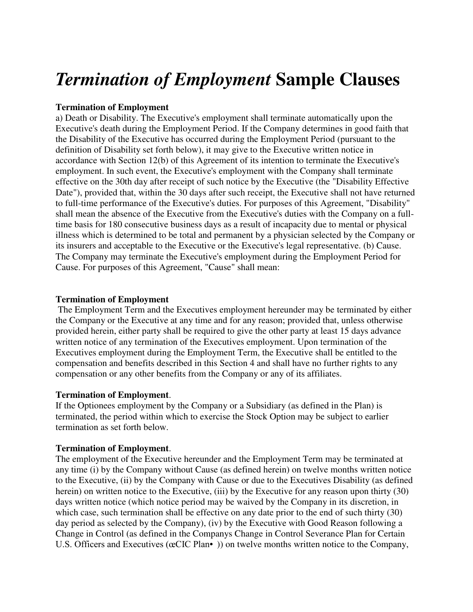# *Termination of Employment* **Sample Clauses**

## **Termination of Employment**

a) Death or Disability. The Executive's employment shall terminate automatically upon the Executive's death during the Employment Period. If the Company determines in good faith that the Disability of the Executive has occurred during the Employment Period (pursuant to the definition of Disability set forth below), it may give to the Executive written notice in accordance with Section 12(b) of this Agreement of its intention to terminate the Executive's employment. In such event, the Executive's employment with the Company shall terminate effective on the 30th day after receipt of such notice by the Executive (the "Disability Effective Date"), provided that, within the 30 days after such receipt, the Executive shall not have returned to full-time performance of the Executive's duties. For purposes of this Agreement, "Disability" shall mean the absence of the Executive from the Executive's duties with the Company on a fulltime basis for 180 consecutive business days as a result of incapacity due to mental or physical illness which is determined to be total and permanent by a physician selected by the Company or its insurers and acceptable to the Executive or the Executive's legal representative. (b) Cause. The Company may terminate the Executive's employment during the Employment Period for Cause. For purposes of this Agreement, "Cause" shall mean:

### **Termination of Employment**

 The Employment Term and the Executives employment hereunder may be terminated by either the Company or the Executive at any time and for any reason; provided that, unless otherwise provided herein, either party shall be required to give the other party at least 15 days advance written notice of any termination of the Executives employment. Upon termination of the Executives employment during the Employment Term, the Executive shall be entitled to the compensation and benefits described in this Section 4 and shall have no further rights to any compensation or any other benefits from the Company or any of its affiliates.

### **Termination of Employment**.

If the Optionees employment by the Company or a Subsidiary (as defined in the Plan) is terminated, the period within which to exercise the Stock Option may be subject to earlier termination as set forth below.

### **Termination of Employment**.

The employment of the Executive hereunder and the Employment Term may be terminated at any time (i) by the Company without Cause (as defined herein) on twelve months written notice to the Executive, (ii) by the Company with Cause or due to the Executives Disability (as defined herein) on written notice to the Executive, (iii) by the Executive for any reason upon thirty (30) days written notice (which notice period may be waived by the Company in its discretion, in which case, such termination shall be effective on any date prior to the end of such thirty (30) day period as selected by the Company), (iv) by the Executive with Good Reason following a Change in Control (as defined in the Companys Change in Control Severance Plan for Certain U.S. Officers and Executives ( $\alpha$ CIC Plan•) on twelve months written notice to the Company,